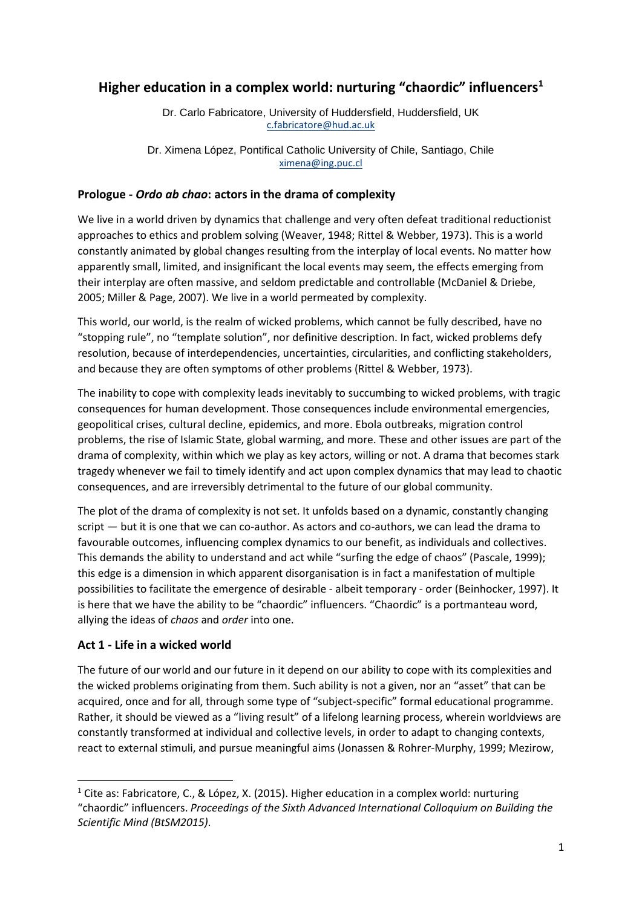# **Higher education in a complex world: nurturing "chaordic" influencers<sup>1</sup>**

Dr. Carlo Fabricatore, University of Huddersfield, Huddersfield, UK [c.fabricatore@hud.ac.uk](mailto:c.fabricatore@hud.ac.uk)

Dr. Ximena López, Pontifical Catholic University of Chile, Santiago, Chile [ximena@ing.puc.cl](mailto:ximena@ing.puc.cl)

### **Prologue -** *Ordo ab chao***: actors in the drama of complexity**

We live in a world driven by dynamics that challenge and very often defeat traditional reductionist approaches to ethics and problem solving (Weaver, 1948; Rittel & Webber, 1973). This is a world constantly animated by global changes resulting from the interplay of local events. No matter how apparently small, limited, and insignificant the local events may seem, the effects emerging from their interplay are often massive, and seldom predictable and controllable (McDaniel & Driebe, 2005; Miller & Page, 2007). We live in a world permeated by complexity.

This world, our world, is the realm of wicked problems, which cannot be fully described, have no "stopping rule", no "template solution", nor definitive description. In fact, wicked problems defy resolution, because of interdependencies, uncertainties, circularities, and conflicting stakeholders, and because they are often symptoms of other problems (Rittel & Webber, 1973).

The inability to cope with complexity leads inevitably to succumbing to wicked problems, with tragic consequences for human development. Those consequences include environmental emergencies, geopolitical crises, cultural decline, epidemics, and more. Ebola outbreaks, migration control problems, the rise of Islamic State, global warming, and more. These and other issues are part of the drama of complexity, within which we play as key actors, willing or not. A drama that becomes stark tragedy whenever we fail to timely identify and act upon complex dynamics that may lead to chaotic consequences, and are irreversibly detrimental to the future of our global community.

The plot of the drama of complexity is not set. It unfolds based on a dynamic, constantly changing script — but it is one that we can co-author. As actors and co-authors, we can lead the drama to favourable outcomes, influencing complex dynamics to our benefit, as individuals and collectives. This demands the ability to understand and act while "surfing the edge of chaos" (Pascale, 1999); this edge is a dimension in which apparent disorganisation is in fact a manifestation of multiple possibilities to facilitate the emergence of desirable - albeit temporary - order (Beinhocker, 1997). It is here that we have the ability to be "chaordic" influencers. "Chaordic" is a portmanteau word, allying the ideas of *chaos* and *order* into one.

# **Act 1 - Life in a wicked world**

1

The future of our world and our future in it depend on our ability to cope with its complexities and the wicked problems originating from them. Such ability is not a given, nor an "asset" that can be acquired, once and for all, through some type of "subject-specific" formal educational programme. Rather, it should be viewed as a "living result" of a lifelong learning process, wherein worldviews are constantly transformed at individual and collective levels, in order to adapt to changing contexts, react to external stimuli, and pursue meaningful aims (Jonassen & Rohrer-Murphy, 1999; Mezirow,

<sup>&</sup>lt;sup>1</sup> Cite as: Fabricatore, C., & López, X. (2015). Higher education in a complex world: nurturing "chaordic" influencers. *Proceedings of the Sixth Advanced International Colloquium on Building the Scientific Mind (BtSM2015)*.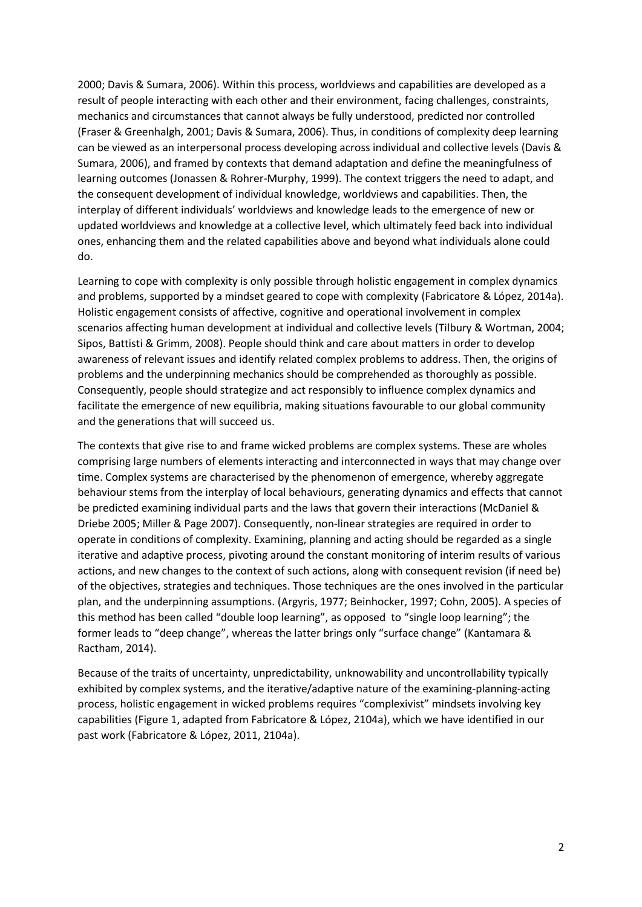2000; Davis & Sumara, 2006). Within this process, worldviews and capabilities are developed as a result of people interacting with each other and their environment, facing challenges, constraints, mechanics and circumstances that cannot always be fully understood, predicted nor controlled (Fraser & Greenhalgh, 2001; Davis & Sumara, 2006). Thus, in conditions of complexity deep learning can be viewed as an interpersonal process developing across individual and collective levels (Davis & Sumara, 2006), and framed by contexts that demand adaptation and define the meaningfulness of learning outcomes (Jonassen & Rohrer-Murphy, 1999). The context triggers the need to adapt, and the consequent development of individual knowledge, worldviews and capabilities. Then, the interplay of different individuals' worldviews and knowledge leads to the emergence of new or updated worldviews and knowledge at a collective level, which ultimately feed back into individual ones, enhancing them and the related capabilities above and beyond what individuals alone could do.

Learning to cope with complexity is only possible through holistic engagement in complex dynamics and problems, supported by a mindset geared to cope with complexity (Fabricatore & López, 2014a). Holistic engagement consists of affective, cognitive and operational involvement in complex scenarios affecting human development at individual and collective levels (Tilbury & Wortman, 2004; Sipos, Battisti & Grimm, 2008). People should think and care about matters in order to develop awareness of relevant issues and identify related complex problems to address. Then, the origins of problems and the underpinning mechanics should be comprehended as thoroughly as possible. Consequently, people should strategize and act responsibly to influence complex dynamics and facilitate the emergence of new equilibria, making situations favourable to our global community and the generations that will succeed us.

The contexts that give rise to and frame wicked problems are complex systems. These are wholes comprising large numbers of elements interacting and interconnected in ways that may change over time. Complex systems are characterised by the phenomenon of emergence, whereby aggregate behaviour stems from the interplay of local behaviours, generating dynamics and effects that cannot be predicted examining individual parts and the laws that govern their interactions (McDaniel & Driebe 2005; Miller & Page 2007). Consequently, non-linear strategies are required in order to operate in conditions of complexity. Examining, planning and acting should be regarded as a single iterative and adaptive process, pivoting around the constant monitoring of interim results of various actions, and new changes to the context of such actions, along with consequent revision (if need be) of the objectives, strategies and techniques. Those techniques are the ones involved in the particular plan, and the underpinning assumptions. (Argyris, 1977; Beinhocker, 1997; Cohn, 2005). A species of this method has been called "double loop learning", as opposed to "single loop learning"; the former leads to "deep change", whereas the latter brings only "surface change" (Kantamara & Ractham, 2014).

Because of the traits of uncertainty, unpredictability, unknowability and uncontrollability typically exhibited by complex systems, and the iterative/adaptive nature of the examining-planning-acting process, holistic engagement in wicked problems requires "complexivist" mindsets involving key capabilities (Figure 1, adapted from Fabricatore & López, 2104a), which we have identified in our past work (Fabricatore & López, 2011, 2104a).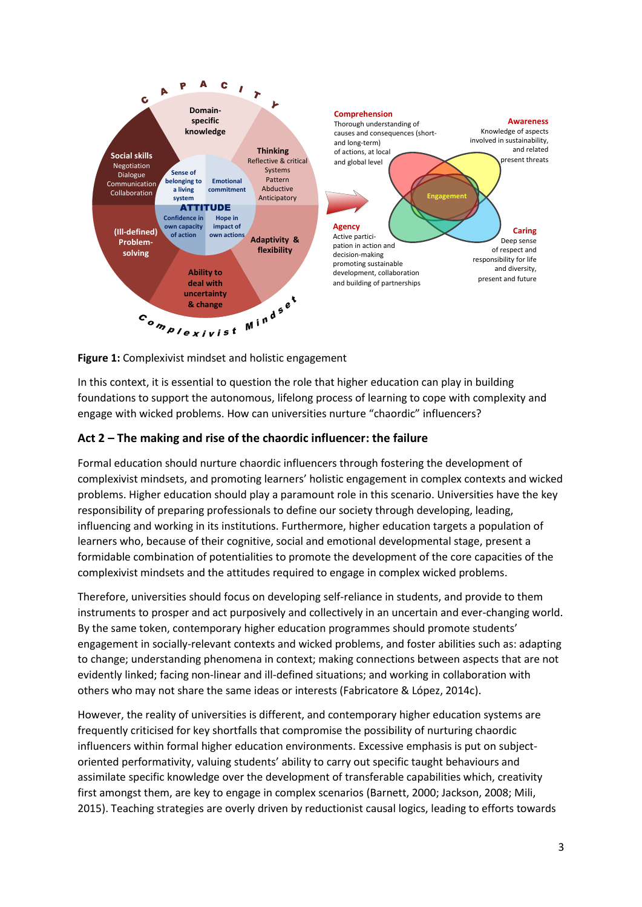

**Figure 1:** Complexivist mindset and holistic engagement

In this context, it is essential to question the role that higher education can play in building foundations to support the autonomous, lifelong process of learning to cope with complexity and engage with wicked problems. How can universities nurture "chaordic" influencers?

# **Act 2 – The making and rise of the chaordic influencer: the failure**

Formal education should nurture chaordic influencers through fostering the development of complexivist mindsets, and promoting learners' holistic engagement in complex contexts and wicked problems. Higher education should play a paramount role in this scenario. Universities have the key responsibility of preparing professionals to define our society through developing, leading, influencing and working in its institutions. Furthermore, higher education targets a population of learners who, because of their cognitive, social and emotional developmental stage, present a formidable combination of potentialities to promote the development of the core capacities of the complexivist mindsets and the attitudes required to engage in complex wicked problems.

Therefore, universities should focus on developing self-reliance in students, and provide to them instruments to prosper and act purposively and collectively in an uncertain and ever-changing world. By the same token, contemporary higher education programmes should promote students' engagement in socially-relevant contexts and wicked problems, and foster abilities such as: adapting to change; understanding phenomena in context; making connections between aspects that are not evidently linked; facing non-linear and ill-defined situations; and working in collaboration with others who may not share the same ideas or interests (Fabricatore & López, 2014c).

However, the reality of universities is different, and contemporary higher education systems are frequently criticised for key shortfalls that compromise the possibility of nurturing chaordic influencers within formal higher education environments. Excessive emphasis is put on subjectoriented performativity, valuing students' ability to carry out specific taught behaviours and assimilate specific knowledge over the development of transferable capabilities which, creativity first amongst them, are key to engage in complex scenarios (Barnett, 2000; Jackson, 2008; Mili, 2015). Teaching strategies are overly driven by reductionist causal logics, leading to efforts towards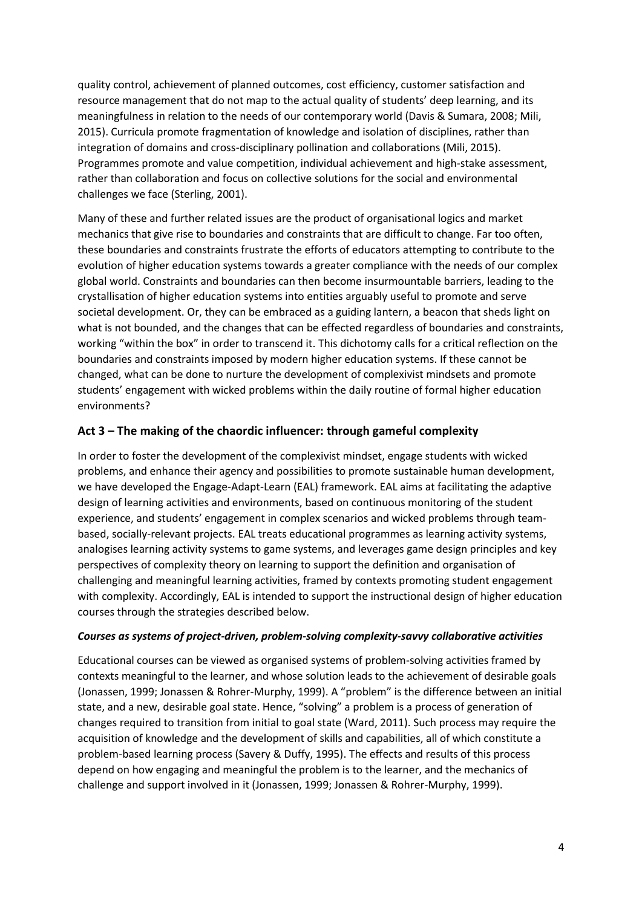quality control, achievement of planned outcomes, cost efficiency, customer satisfaction and resource management that do not map to the actual quality of students' deep learning, and its meaningfulness in relation to the needs of our contemporary world (Davis & Sumara, 2008; Mili, 2015). Curricula promote fragmentation of knowledge and isolation of disciplines, rather than integration of domains and cross-disciplinary pollination and collaborations (Mili, 2015). Programmes promote and value competition, individual achievement and high-stake assessment, rather than collaboration and focus on collective solutions for the social and environmental challenges we face (Sterling, 2001).

Many of these and further related issues are the product of organisational logics and market mechanics that give rise to boundaries and constraints that are difficult to change. Far too often, these boundaries and constraints frustrate the efforts of educators attempting to contribute to the evolution of higher education systems towards a greater compliance with the needs of our complex global world. Constraints and boundaries can then become insurmountable barriers, leading to the crystallisation of higher education systems into entities arguably useful to promote and serve societal development. Or, they can be embraced as a guiding lantern, a beacon that sheds light on what is not bounded, and the changes that can be effected regardless of boundaries and constraints, working "within the box" in order to transcend it. This dichotomy calls for a critical reflection on the boundaries and constraints imposed by modern higher education systems. If these cannot be changed, what can be done to nurture the development of complexivist mindsets and promote students' engagement with wicked problems within the daily routine of formal higher education environments?

### **Act 3 – The making of the chaordic influencer: through gameful complexity**

In order to foster the development of the complexivist mindset, engage students with wicked problems, and enhance their agency and possibilities to promote sustainable human development, we have developed the Engage-Adapt-Learn (EAL) framework. EAL aims at facilitating the adaptive design of learning activities and environments, based on continuous monitoring of the student experience, and students' engagement in complex scenarios and wicked problems through teambased, socially-relevant projects. EAL treats educational programmes as learning activity systems, analogises learning activity systems to game systems, and leverages game design principles and key perspectives of complexity theory on learning to support the definition and organisation of challenging and meaningful learning activities, framed by contexts promoting student engagement with complexity. Accordingly, EAL is intended to support the instructional design of higher education courses through the strategies described below.

#### *Courses as systems of project-driven, problem-solving complexity-savvy collaborative activities*

Educational courses can be viewed as organised systems of problem-solving activities framed by contexts meaningful to the learner, and whose solution leads to the achievement of desirable goals (Jonassen, 1999; Jonassen & Rohrer-Murphy, 1999). A "problem" is the difference between an initial state, and a new, desirable goal state. Hence, "solving" a problem is a process of generation of changes required to transition from initial to goal state (Ward, 2011). Such process may require the acquisition of knowledge and the development of skills and capabilities, all of which constitute a problem-based learning process (Savery & Duffy, 1995). The effects and results of this process depend on how engaging and meaningful the problem is to the learner, and the mechanics of challenge and support involved in it (Jonassen, 1999; Jonassen & Rohrer-Murphy, 1999).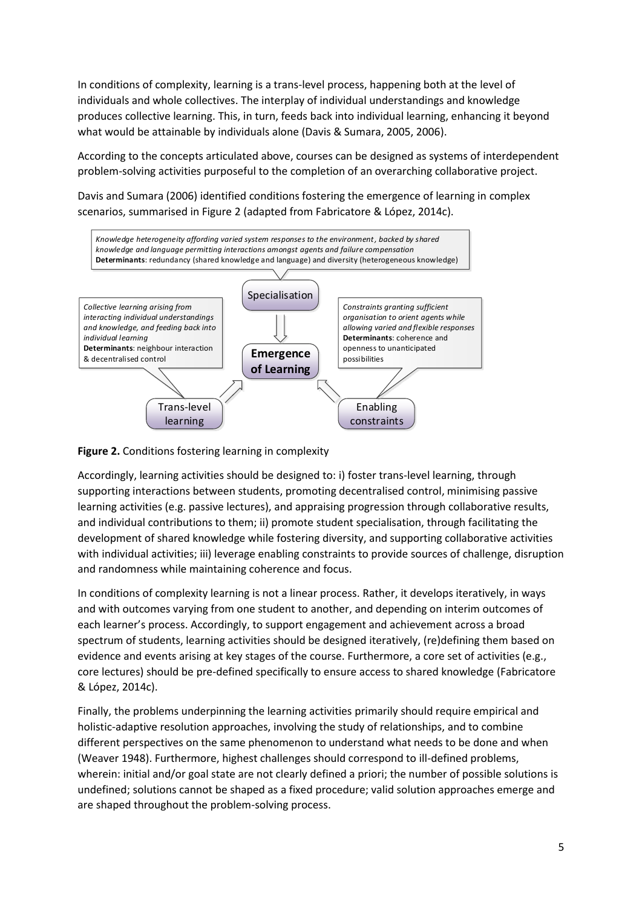In conditions of complexity, learning is a trans-level process, happening both at the level of individuals and whole collectives. The interplay of individual understandings and knowledge produces collective learning. This, in turn, feeds back into individual learning, enhancing it beyond what would be attainable by individuals alone (Davis & Sumara, 2005, 2006).

According to the concepts articulated above, courses can be designed as systems of interdependent problem-solving activities purposeful to the completion of an overarching collaborative project.

Davis and Sumara (2006) identified conditions fostering the emergence of learning in complex scenarios, summarised in Figure 2 (adapted from Fabricatore & López, 2014c).



**Figure 2.** Conditions fostering learning in complexity

Accordingly, learning activities should be designed to: i) foster trans-level learning, through supporting interactions between students, promoting decentralised control, minimising passive learning activities (e.g. passive lectures), and appraising progression through collaborative results, and individual contributions to them; ii) promote student specialisation, through facilitating the development of shared knowledge while fostering diversity, and supporting collaborative activities with individual activities; iii) leverage enabling constraints to provide sources of challenge, disruption and randomness while maintaining coherence and focus.

In conditions of complexity learning is not a linear process. Rather, it develops iteratively, in ways and with outcomes varying from one student to another, and depending on interim outcomes of each learner's process. Accordingly, to support engagement and achievement across a broad spectrum of students, learning activities should be designed iteratively, (re)defining them based on evidence and events arising at key stages of the course. Furthermore, a core set of activities (e.g., core lectures) should be pre-defined specifically to ensure access to shared knowledge (Fabricatore & López, 2014c).

Finally, the problems underpinning the learning activities primarily should require empirical and holistic-adaptive resolution approaches, involving the study of relationships, and to combine different perspectives on the same phenomenon to understand what needs to be done and when (Weaver 1948). Furthermore, highest challenges should correspond to ill-defined problems, wherein: initial and/or goal state are not clearly defined a priori; the number of possible solutions is undefined; solutions cannot be shaped as a fixed procedure; valid solution approaches emerge and are shaped throughout the problem-solving process.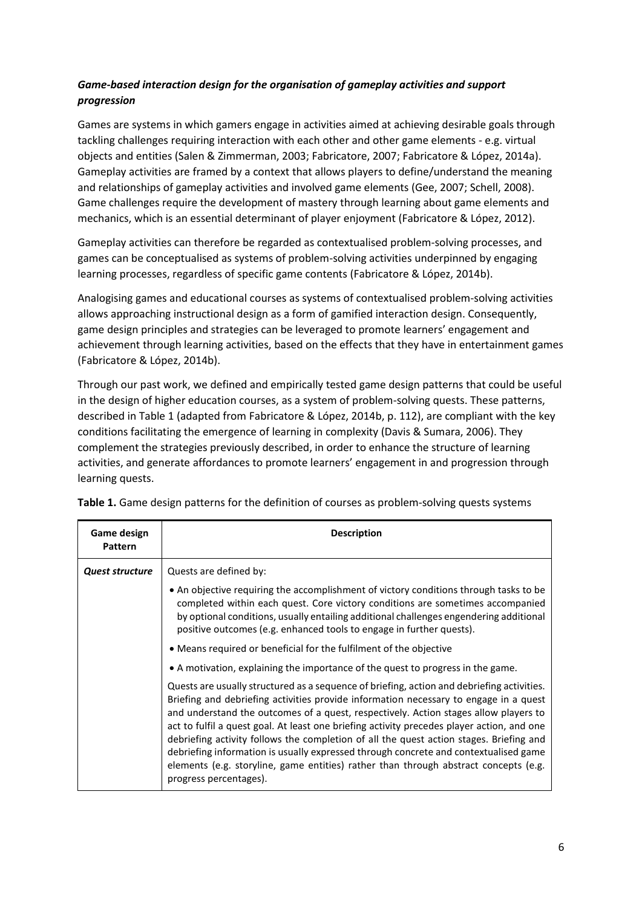# *Game-based interaction design for the organisation of gameplay activities and support progression*

Games are systems in which gamers engage in activities aimed at achieving desirable goals through tackling challenges requiring interaction with each other and other game elements - e.g. virtual objects and entities (Salen & Zimmerman, 2003; Fabricatore, 2007; Fabricatore & López, 2014a). Gameplay activities are framed by a context that allows players to define/understand the meaning and relationships of gameplay activities and involved game elements (Gee, 2007; Schell, 2008). Game challenges require the development of mastery through learning about game elements and mechanics, which is an essential determinant of player enjoyment (Fabricatore & López, 2012).

Gameplay activities can therefore be regarded as contextualised problem-solving processes, and games can be conceptualised as systems of problem-solving activities underpinned by engaging learning processes, regardless of specific game contents (Fabricatore & López, 2014b).

Analogising games and educational courses as systems of contextualised problem-solving activities allows approaching instructional design as a form of gamified interaction design. Consequently, game design principles and strategies can be leveraged to promote learners' engagement and achievement through learning activities, based on the effects that they have in entertainment games (Fabricatore & López, 2014b).

Through our past work, we defined and empirically tested game design patterns that could be useful in the design of higher education courses, as a system of problem-solving quests. These patterns, described in Table 1 (adapted from Fabricatore & López, 2014b, p. 112), are compliant with the key conditions facilitating the emergence of learning in complexity (Davis & Sumara, 2006). They complement the strategies previously described, in order to enhance the structure of learning activities, and generate affordances to promote learners' engagement in and progression through learning quests.

| Game design<br><b>Pattern</b> | <b>Description</b>                                                                                                                                                                                                                                                                                                                                                                                                                                                                                                                                                                                                                                                             |  |  |  |  |
|-------------------------------|--------------------------------------------------------------------------------------------------------------------------------------------------------------------------------------------------------------------------------------------------------------------------------------------------------------------------------------------------------------------------------------------------------------------------------------------------------------------------------------------------------------------------------------------------------------------------------------------------------------------------------------------------------------------------------|--|--|--|--|
| <b>Quest structure</b>        | Quests are defined by:                                                                                                                                                                                                                                                                                                                                                                                                                                                                                                                                                                                                                                                         |  |  |  |  |
|                               | • An objective requiring the accomplishment of victory conditions through tasks to be<br>completed within each quest. Core victory conditions are sometimes accompanied<br>by optional conditions, usually entailing additional challenges engendering additional<br>positive outcomes (e.g. enhanced tools to engage in further quests).                                                                                                                                                                                                                                                                                                                                      |  |  |  |  |
|                               | • Means required or beneficial for the fulfilment of the objective                                                                                                                                                                                                                                                                                                                                                                                                                                                                                                                                                                                                             |  |  |  |  |
|                               | • A motivation, explaining the importance of the quest to progress in the game.                                                                                                                                                                                                                                                                                                                                                                                                                                                                                                                                                                                                |  |  |  |  |
|                               | Quests are usually structured as a sequence of briefing, action and debriefing activities.<br>Briefing and debriefing activities provide information necessary to engage in a quest<br>and understand the outcomes of a quest, respectively. Action stages allow players to<br>act to fulfil a quest goal. At least one briefing activity precedes player action, and one<br>debriefing activity follows the completion of all the quest action stages. Briefing and<br>debriefing information is usually expressed through concrete and contextualised game<br>elements (e.g. storyline, game entities) rather than through abstract concepts (e.g.<br>progress percentages). |  |  |  |  |

**Table 1.** Game design patterns for the definition of courses as problem-solving quests systems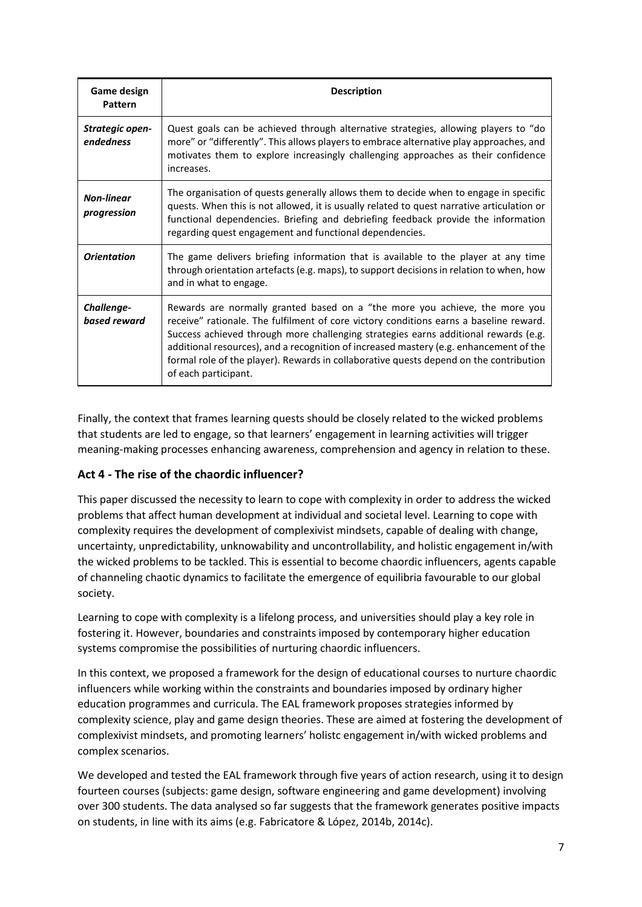| Game design<br>Pattern           | <b>Description</b>                                                                                                                                                                                                                                                                                                                                                                                                                                                       |
|----------------------------------|--------------------------------------------------------------------------------------------------------------------------------------------------------------------------------------------------------------------------------------------------------------------------------------------------------------------------------------------------------------------------------------------------------------------------------------------------------------------------|
| Strategic open-<br>endedness     | Quest goals can be achieved through alternative strategies, allowing players to "do<br>more" or "differently". This allows players to embrace alternative play approaches, and<br>motivates them to explore increasingly challenging approaches as their confidence<br>increases.                                                                                                                                                                                        |
| <b>Non-linear</b><br>progression | The organisation of quests generally allows them to decide when to engage in specific<br>quests. When this is not allowed, it is usually related to quest narrative articulation or<br>functional dependencies. Briefing and debriefing feedback provide the information<br>regarding quest engagement and functional dependencies.                                                                                                                                      |
| <b>Orientation</b>               | The game delivers briefing information that is available to the player at any time<br>through orientation artefacts (e.g. maps), to support decisions in relation to when, how<br>and in what to engage.                                                                                                                                                                                                                                                                 |
| Challenge-<br>based reward       | Rewards are normally granted based on a "the more you achieve, the more you<br>receive" rationale. The fulfilment of core victory conditions earns a baseline reward.<br>Success achieved through more challenging strategies earns additional rewards (e.g.<br>additional resources), and a recognition of increased mastery (e.g. enhancement of the<br>formal role of the player). Rewards in collaborative quests depend on the contribution<br>of each participant. |

Finally, the context that frames learning quests should be closely related to the wicked problems that students are led to engage, so that learners' engagement in learning activities will trigger meaning-making processes enhancing awareness, comprehension and agency in relation to these.

# **Act 4 - The rise of the chaordic influencer?**

This paper discussed the necessity to learn to cope with complexity in order to address the wicked problems that affect human development at individual and societal level. Learning to cope with complexity requires the development of complexivist mindsets, capable of dealing with change, uncertainty, unpredictability, unknowability and uncontrollability, and holistic engagement in/with the wicked problems to be tackled. This is essential to become chaordic influencers, agents capable of channeling chaotic dynamics to facilitate the emergence of equilibria favourable to our global society.

Learning to cope with complexity is a lifelong process, and universities should play a key role in fostering it. However, boundaries and constraints imposed by contemporary higher education systems compromise the possibilities of nurturing chaordic influencers.

In this context, we proposed a framework for the design of educational courses to nurture chaordic influencers while working within the constraints and boundaries imposed by ordinary higher education programmes and curricula. The EAL framework proposes strategies informed by complexity science, play and game design theories. These are aimed at fostering the development of complexivist mindsets, and promoting learners' holistc engagement in/with wicked problems and complex scenarios.

We developed and tested the EAL framework through five years of action research, using it to design fourteen courses (subjects: game design, software engineering and game development) involving over 300 students. The data analysed so far suggests that the framework generates positive impacts on students, in line with its aims (e.g. Fabricatore & López, 2014b, 2014c).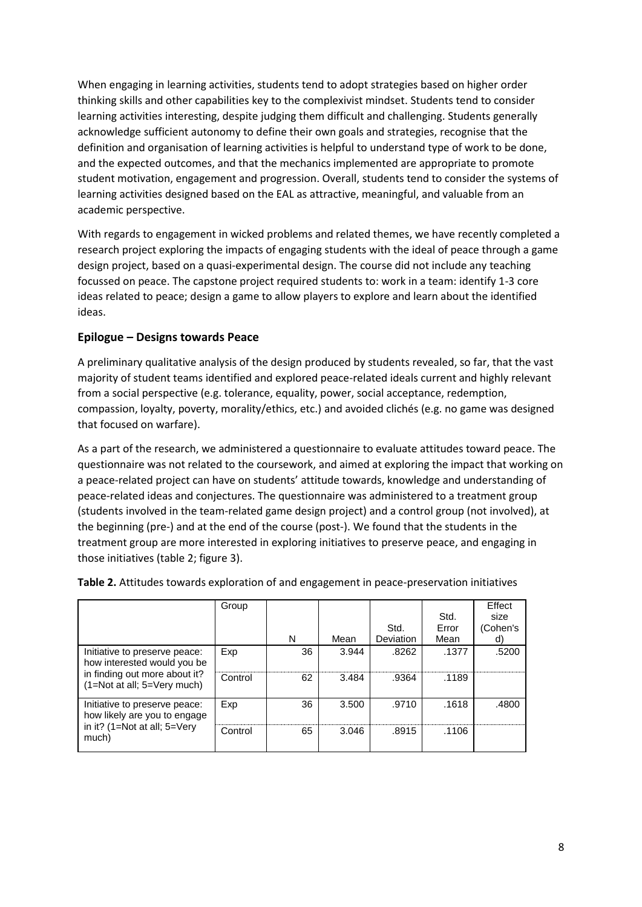When engaging in learning activities, students tend to adopt strategies based on higher order thinking skills and other capabilities key to the complexivist mindset. Students tend to consider learning activities interesting, despite judging them difficult and challenging. Students generally acknowledge sufficient autonomy to define their own goals and strategies, recognise that the definition and organisation of learning activities is helpful to understand type of work to be done, and the expected outcomes, and that the mechanics implemented are appropriate to promote student motivation, engagement and progression. Overall, students tend to consider the systems of learning activities designed based on the EAL as attractive, meaningful, and valuable from an academic perspective.

With regards to engagement in wicked problems and related themes, we have recently completed a research project exploring the impacts of engaging students with the ideal of peace through a game design project, based on a quasi-experimental design. The course did not include any teaching focussed on peace. The capstone project required students to: work in a team: identify 1-3 core ideas related to peace; design a game to allow players to explore and learn about the identified ideas.

### **Epilogue – Designs towards Peace**

A preliminary qualitative analysis of the design produced by students revealed, so far, that the vast majority of student teams identified and explored peace-related ideals current and highly relevant from a social perspective (e.g. tolerance, equality, power, social acceptance, redemption, compassion, loyalty, poverty, morality/ethics, etc.) and avoided clichés (e.g. no game was designed that focused on warfare).

As a part of the research, we administered a questionnaire to evaluate attitudes toward peace. The questionnaire was not related to the coursework, and aimed at exploring the impact that working on a peace-related project can have on students' attitude towards, knowledge and understanding of peace-related ideas and conjectures. The questionnaire was administered to a treatment group (students involved in the team-related game design project) and a control group (not involved), at the beginning (pre-) and at the end of the course (post-). We found that the students in the treatment group are more interested in exploring initiatives to preserve peace, and engaging in those initiatives (table 2; figure 3).

|                                                               | Group   |    |       |                  | Std.  | <b>Effect</b><br>size |
|---------------------------------------------------------------|---------|----|-------|------------------|-------|-----------------------|
|                                                               |         |    |       | Std.             | Error | (Cohen's              |
|                                                               |         | N  | Mean  | <b>Deviation</b> | Mean  | d)                    |
| Initiative to preserve peace:<br>how interested would you be  | Exp     | 36 | 3.944 | .8262            | .1377 | .5200                 |
| in finding out more about it?<br>(1=Not at all; 5=Very much)  | Control | 62 | 3.484 | .9364            | .1189 |                       |
| Initiative to preserve peace:<br>how likely are you to engage | Exp     | 36 | 3.500 | .9710            | .1618 | .4800                 |
| in it? (1=Not at all; 5=Very<br>much)                         | Control | 65 | 3.046 | .8915            | .1106 |                       |

**Table 2.** Attitudes towards exploration of and engagement in peace-preservation initiatives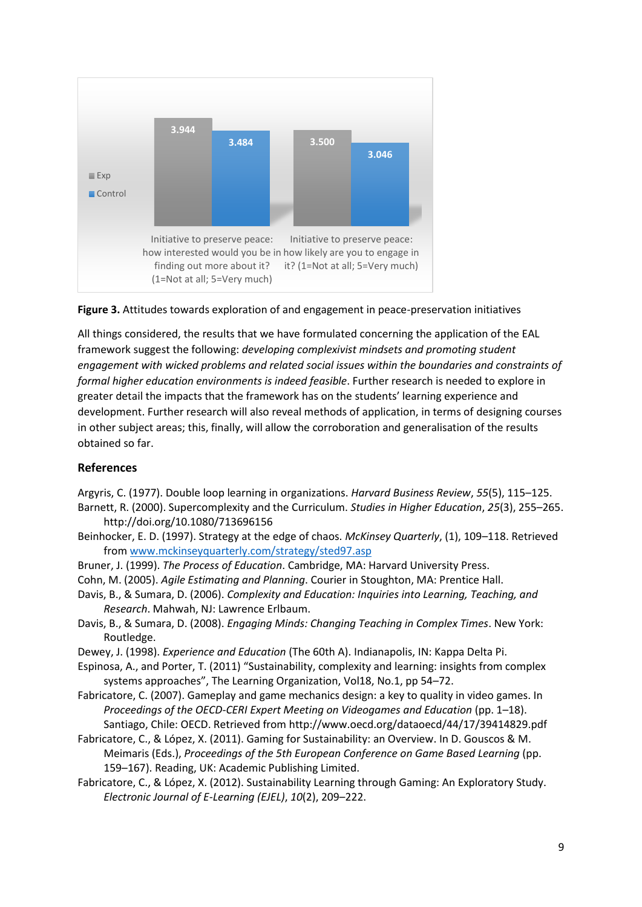



All things considered, the results that we have formulated concerning the application of the EAL framework suggest the following: *developing complexivist mindsets and promoting student engagement with wicked problems and related social issues within the boundaries and constraints of formal higher education environments is indeed feasible*. Further research is needed to explore in greater detail the impacts that the framework has on the students' learning experience and development. Further research will also reveal methods of application, in terms of designing courses in other subject areas; this, finally, will allow the corroboration and generalisation of the results obtained so far.

### **References**

- Argyris, C. (1977). Double loop learning in organizations. *Harvard Business Review*, *55*(5), 115–125.
- Barnett, R. (2000). Supercomplexity and the Curriculum. *Studies in Higher Education*, *25*(3), 255–265. http://doi.org/10.1080/713696156
- Beinhocker, E. D. (1997). Strategy at the edge of chaos. *McKinsey Quarterly*, (1), 109–118. Retrieved fro[m www.mckinseyquarterly.com/strategy/sted97.asp](http://www.mckinseyquarterly.com/strategy/sted97.asp)
- Bruner, J. (1999). *The Process of Education*. Cambridge, MA: Harvard University Press.
- Cohn, M. (2005). *Agile Estimating and Planning*. Courier in Stoughton, MA: Prentice Hall.
- Davis, B., & Sumara, D. (2006). *Complexity and Education: Inquiries into Learning, Teaching, and Research*. Mahwah, NJ: Lawrence Erlbaum.
- Davis, B., & Sumara, D. (2008). *Engaging Minds: Changing Teaching in Complex Times*. New York: Routledge.
- Dewey, J. (1998). *Experience and Education* (The 60th A). Indianapolis, IN: Kappa Delta Pi.
- Espinosa, A., and Porter, T. (2011) "Sustainability, complexity and learning: insights from complex systems approaches", The Learning Organization, Vol18, No.1, pp 54–72.
- Fabricatore, C. (2007). Gameplay and game mechanics design: a key to quality in video games. In *Proceedings of the OECD-CERI Expert Meeting on Videogames and Education* (pp. 1–18). Santiago, Chile: OECD. Retrieved from http://www.oecd.org/dataoecd/44/17/39414829.pdf
- Fabricatore, C., & López, X. (2011). Gaming for Sustainability: an Overview. In D. Gouscos & M. Meimaris (Eds.), *Proceedings of the 5th European Conference on Game Based Learning* (pp. 159–167). Reading, UK: Academic Publishing Limited.
- Fabricatore, C., & López, X. (2012). Sustainability Learning through Gaming: An Exploratory Study. *Electronic Journal of E-Learning (EJEL)*, *10*(2), 209–222.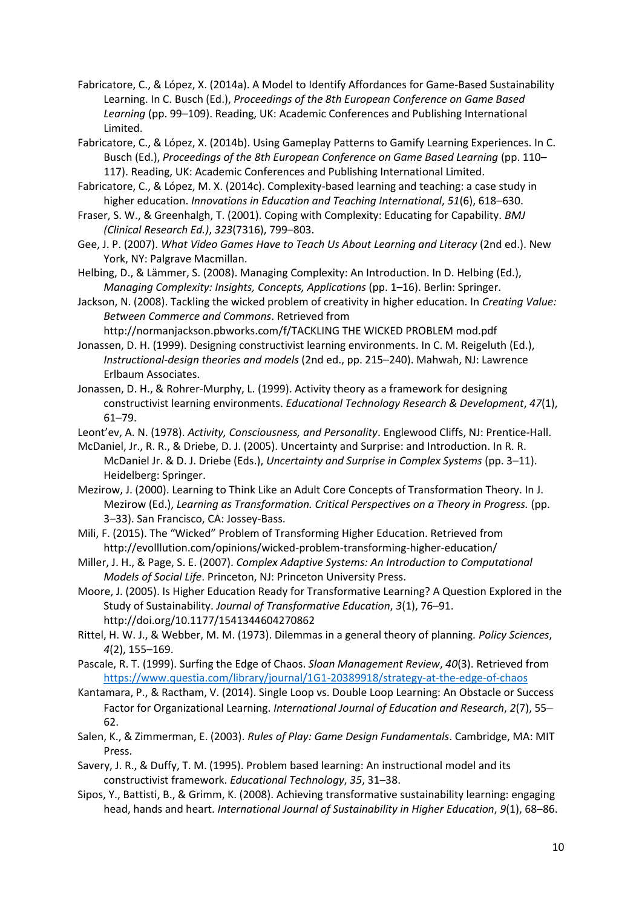- Fabricatore, C., & López, X. (2014a). A Model to Identify Affordances for Game-Based Sustainability Learning. In C. Busch (Ed.), *Proceedings of the 8th European Conference on Game Based Learning* (pp. 99–109). Reading, UK: Academic Conferences and Publishing International Limited.
- Fabricatore, C., & López, X. (2014b). Using Gameplay Patterns to Gamify Learning Experiences. In C. Busch (Ed.), *Proceedings of the 8th European Conference on Game Based Learning* (pp. 110– 117). Reading, UK: Academic Conferences and Publishing International Limited.
- Fabricatore, C., & López, M. X. (2014c). Complexity-based learning and teaching: a case study in higher education. *Innovations in Education and Teaching International*, *51*(6), 618–630.
- Fraser, S. W., & Greenhalgh, T. (2001). Coping with Complexity: Educating for Capability. *BMJ (Clinical Research Ed.)*, *323*(7316), 799–803.
- Gee, J. P. (2007). *What Video Games Have to Teach Us About Learning and Literacy* (2nd ed.). New York, NY: Palgrave Macmillan.
- Helbing, D., & Lämmer, S. (2008). Managing Complexity: An Introduction. In D. Helbing (Ed.), *Managing Complexity: Insights, Concepts, Applications* (pp. 1–16). Berlin: Springer.
- Jackson, N. (2008). Tackling the wicked problem of creativity in higher education. In *Creating Value: Between Commerce and Commons*. Retrieved from
- http://normanjackson.pbworks.com/f/TACKLING THE WICKED PROBLEM mod.pdf Jonassen, D. H. (1999). Designing constructivist learning environments. In C. M. Reigeluth (Ed.), *Instructional-design theories and models* (2nd ed., pp. 215–240). Mahwah, NJ: Lawrence Erlbaum Associates.
- Jonassen, D. H., & Rohrer-Murphy, L. (1999). Activity theory as a framework for designing constructivist learning environments. *Educational Technology Research & Development*, *47*(1), 61–79.
- Leont'ev, A. N. (1978). *Activity, Consciousness, and Personality*. Englewood Cliffs, NJ: Prentice-Hall.
- McDaniel, Jr., R. R., & Driebe, D. J. (2005). Uncertainty and Surprise: and Introduction. In R. R. McDaniel Jr. & D. J. Driebe (Eds.), *Uncertainty and Surprise in Complex Systems* (pp. 3–11). Heidelberg: Springer.
- Mezirow, J. (2000). Learning to Think Like an Adult Core Concepts of Transformation Theory. In J. Mezirow (Ed.), *Learning as Transformation. Critical Perspectives on a Theory in Progress.* (pp. 3–33). San Francisco, CA: Jossey-Bass.
- Mili, F. (2015). The "Wicked" Problem of Transforming Higher Education. Retrieved from http://evolllution.com/opinions/wicked-problem-transforming-higher-education/
- Miller, J. H., & Page, S. E. (2007). *Complex Adaptive Systems: An Introduction to Computational Models of Social Life*. Princeton, NJ: Princeton University Press.
- Moore, J. (2005). Is Higher Education Ready for Transformative Learning? A Question Explored in the Study of Sustainability. *Journal of Transformative Education*, *3*(1), 76–91. http://doi.org/10.1177/1541344604270862
- Rittel, H. W. J., & Webber, M. M. (1973). Dilemmas in a general theory of planning. *Policy Sciences*, *4*(2), 155–169.
- Pascale, R. T. (1999). Surfing the Edge of Chaos. *Sloan Management Review*, *40*(3). Retrieved from <https://www.questia.com/library/journal/1G1-20389918/strategy-at-the-edge-of-chaos>
- Kantamara, P., & Ractham, V. (2014). Single Loop vs. Double Loop Learning: An Obstacle or Success Factor for Organizational Learning. *International Journal of Education and Research*, *2*(7), 55– 62.
- Salen, K., & Zimmerman, E. (2003). *Rules of Play: Game Design Fundamentals*. Cambridge, MA: MIT Press.
- Savery, J. R., & Duffy, T. M. (1995). Problem based learning: An instructional model and its constructivist framework. *Educational Technology*, *35*, 31–38.
- Sipos, Y., Battisti, B., & Grimm, K. (2008). Achieving transformative sustainability learning: engaging head, hands and heart. *International Journal of Sustainability in Higher Education*, *9*(1), 68–86.